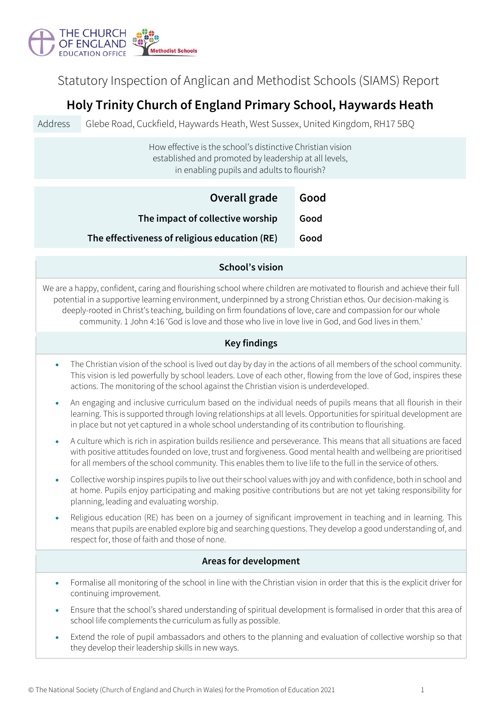

Statutory Inspection of Anglican and Methodist Schools (SIAMS) Report

# **Holy Trinity Church of England Primary School, Haywards Heath**

Address Glebe Road, Cuckfield, Haywards Heath, West Sussex, United Kingdom, RH17 5BQ

# How effective is the school's distinctive Christian vision established and promoted by leadership at all levels, in enabling pupils and adults to flourish?

| Overall grade                                 | Good |
|-----------------------------------------------|------|
| The impact of collective worship              | Good |
| The effectiveness of religious education (RE) | Good |

### **School's vision**

We are a happy, confident, caring and flourishing school where children are motivated to flourish and achieve their full potential in a supportive learning environment, underpinned by a strong Christian ethos. Our decision-making is deeply-rooted in Christ's teaching, building on firm foundations of love, care and compassion for our whole community. 1 John 4:16 'God is love and those who live in love live in God, and God lives in them.'

## **Key findings**

- The Christian vision of the school is lived out day by day in the actions of all members of the school community. This vision is led powerfully by school leaders. Love of each other, flowing from the love of God, inspires these actions. The monitoring of the school against the Christian vision is underdeveloped.
- An engaging and inclusive curriculum based on the individual needs of pupils means that all flourish in their learning. This is supported through loving relationships at all levels. Opportunities for spiritual development are in place but not yet captured in a whole school understanding of its contribution to flourishing.
- A culture which is rich in aspiration builds resilience and perseverance. This means that all situations are faced with positive attitudes founded on love, trust and forgiveness. Good mental health and wellbeing are prioritised for all members of the school community. This enables them to live life to the full in the service of others.
- Collective worship inspires pupils to live out their school values with joy and with confidence, both in school and at home. Pupils enjoy participating and making positive contributions but are not yet taking responsibility for planning, leading and evaluating worship.
- Religious education (RE) has been on a journey of significant improvement in teaching and in learning. This means that pupils are enabled explore big and searching questions. They develop a good understanding of, and respect for, those of faith and those of none.

### **Areas for development**

- Formalise all monitoring of the school in line with the Christian vision in order that this is the explicit driver for continuing improvement.
- Ensure that the school's shared understanding of spiritual development is formalised in order that this area of school life complements the curriculum as fully as possible.
- Extend the role of pupil ambassadors and others to the planning and evaluation of collective worship so that they develop their leadership skills in new ways.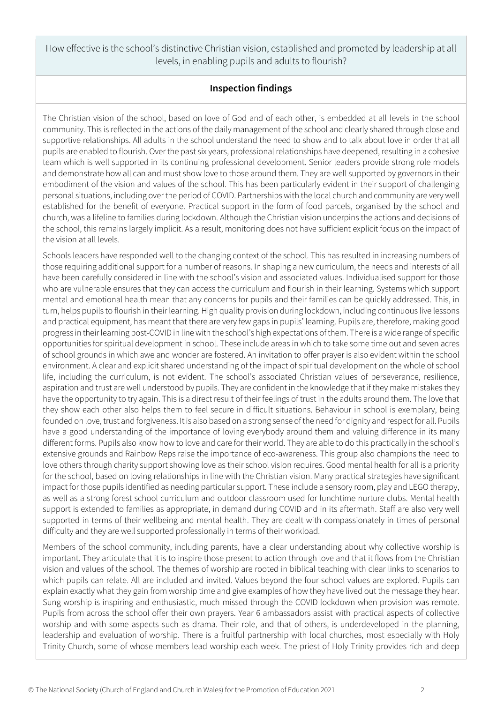How effective is the school's distinctive Christian vision, established and promoted by leadership at all levels, in enabling pupils and adults to flourish?

# **Inspection findings**

The Christian vision of the school, based on love of God and of each other, is embedded at all levels in the school community. This is reflected in the actions of the daily management of the school and clearly shared through close and supportive relationships. All adults in the school understand the need to show and to talk about love in order that all pupils are enabled to flourish. Over the past six years, professional relationships have deepened, resulting in a cohesive team which is well supported in its continuing professional development. Senior leaders provide strong role models and demonstrate how all can and must show love to those around them. They are well supported by governors in their embodiment of the vision and values of the school. This has been particularly evident in their support of challenging personal situations, including over the period of COVID. Partnerships with the local church and community are very well established for the benefit of everyone. Practical support in the form of food parcels, organised by the school and church, was a lifeline to families during lockdown. Although the Christian vision underpins the actions and decisions of the school, this remains largely implicit. As a result, monitoring does not have sufficient explicit focus on the impact of the vision at all levels.

Schools leaders have responded well to the changing context of the school. This has resulted in increasing numbers of those requiring additional support for a number of reasons. In shaping a new curriculum, the needs and interests of all have been carefully considered in line with the school's vision and associated values. Individualised support for those who are vulnerable ensures that they can access the curriculum and flourish in their learning. Systems which support mental and emotional health mean that any concerns for pupils and their families can be quickly addressed. This, in turn, helps pupils to flourish in their learning. High quality provision during lockdown, including continuous live lessons and practical equipment, has meant that there are very few gaps in pupils' learning. Pupils are, therefore, making good progress in their learning post-COVID in line with the school's high expectations of them. There is a wide range of specific opportunities for spiritual development in school. These include areas in which to take some time out and seven acres of school grounds in which awe and wonder are fostered. An invitation to offer prayer is also evident within the school environment. A clear and explicit shared understanding of the impact of spiritual development on the whole of school life, including the curriculum, is not evident. The school's associated Christian values of perseverance, resilience, aspiration and trust are well understood by pupils. They are confident in the knowledge that if they make mistakes they have the opportunity to try again. This is a direct result of their feelings of trust in the adults around them. The love that they show each other also helps them to feel secure in difficult situations. Behaviour in school is exemplary, being founded on love, trust and forgiveness. It is also based on a strong sense of the need for dignity and respect for all. Pupils have a good understanding of the importance of loving everybody around them and valuing difference in its many different forms. Pupils also know how to love and care for their world. They are able to do this practically in the school's extensive grounds and Rainbow Reps raise the importance of eco-awareness. This group also champions the need to love others through charity support showing love as their school vision requires. Good mental health for all is a priority for the school, based on loving relationships in line with the Christian vision. Many practical strategies have significant impact for those pupils identified as needing particular support. These include a sensory room, play and LEGO therapy, as well as a strong forest school curriculum and outdoor classroom used for lunchtime nurture clubs. Mental health support is extended to families as appropriate, in demand during COVID and in its aftermath. Staff are also very well supported in terms of their wellbeing and mental health. They are dealt with compassionately in times of personal difficulty and they are well supported professionally in terms of their workload.

Members of the school community, including parents, have a clear understanding about why collective worship is important. They articulate that it is to inspire those present to action through love and that it flows from the Christian vision and values of the school. The themes of worship are rooted in biblical teaching with clear links to scenarios to which pupils can relate. All are included and invited. Values beyond the four school values are explored. Pupils can explain exactly what they gain from worship time and give examples of how they have lived out the message they hear. Sung worship is inspiring and enthusiastic, much missed through the COVID lockdown when provision was remote. Pupils from across the school offer their own prayers. Year 6 ambassadors assist with practical aspects of collective worship and with some aspects such as drama. Their role, and that of others, is underdeveloped in the planning, leadership and evaluation of worship. There is a fruitful partnership with local churches, most especially with Holy Trinity Church, some of whose members lead worship each week. The priest of Holy Trinity provides rich and deep